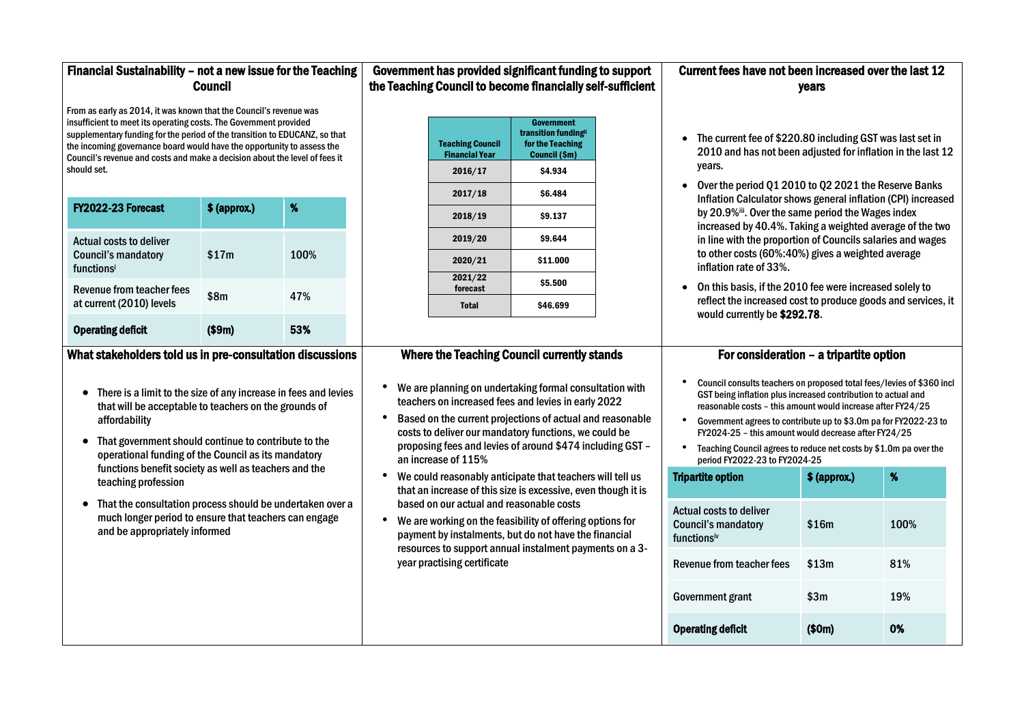# Financial Sustainability – not a new issue for the Teaching Council

From as early as 2014, it was known that the Council's revenue was insufficient to meet its operating costs. The Government provided supplementary funding for the period of the transition to EDUCANZ, so that the incoming governance board would have the opportunity to assess the Council's revenue and costs and make a decision about the level of fees it should set.

• The current fee of \$220.80 including GST was last set in 2010 and has not been adjusted for inflation in the last 12

| FY2022-23 Forecast                                                         | $$$ (approx.) | %    |
|----------------------------------------------------------------------------|---------------|------|
| <b>Actual costs to deliver</b><br><b>Council's mandatory</b><br>functionsi | \$17m         | 100% |
| Revenue from teacher fees<br>at current (2010) levels                      | \$8m          | 47%  |
| <b>Operating deficit</b>                                                   |               |      |

# Government has provided significant funding to support the Teaching Council to become financially self-sufficient

| <b>Teaching Council</b><br><b>Financial Year</b> | <b>Government</b><br>transition fundingii<br>for the Teaching<br>Council (\$m) |  |
|--------------------------------------------------|--------------------------------------------------------------------------------|--|
| 2016/17                                          | \$4.934                                                                        |  |
| 2017/18                                          | \$6.484                                                                        |  |
| 2018/19                                          | \$9.137                                                                        |  |
| 2019/20                                          | \$9.644                                                                        |  |
| 2020/21                                          | \$11.000                                                                       |  |
| 2021/22<br>forecast                              | \$5.500                                                                        |  |
| <b>Total</b>                                     | \$46.699                                                                       |  |

## Current fees have not been increased over the last 12 years

• Over the period Q1 2010 to Q2 2021 the Reserve Banks Inflation Calculator shows general inflation (CPI) increased by 20.9%iii. Over the same period the Wages index increased by 40.4%. Taking a weighted average of the two in line with the proportion of Councils salaries and wages to other costs (60%:40%) gives a weighted average

- years.
- inflation rate of 33%.
- would currently be \$292.78.

Council consults teachers on proposed total fees/levies of \$360 incl GST being inflation plus increased contribution to actual and reasonable costs – this amount would increase after FY24/25

• On this basis, if the 2010 fee were increased solely to reflect the increased cost to produce goods and services, it

#### What stakeholders told us in pre-consultation discussions

Actual costs to deliver Council's mandatory **functionsiv** 

Revenue from teacher f

Government grant

**Operating deficit** 

- There is a limit to the size of any increase in fees and levies that will be acceptable to teachers on the grounds of affordability
- That government should continue to contribute to the operational funding of the Council as its mandatory functions benefit society as well as teachers and the teaching profession
- That the consultation process should be undertaken over a much longer period to ensure that teachers can engage and be appropriately informed

# Where the Teaching Council currently stands

- We are planning on undertaking formal consultation with teachers on increased fees and levies in early 2022
- Based on the current projections of actual and reasonable costs to deliver our mandatory functions, we could be proposing fees and levies of around \$474 including GST – an increase of 115%
- We could reasonably anticipate that teachers will tell us that an increase of this size is excessive, even though it is based on our actual and reasonable costs
- We are working on the feasibility of offering options for payment by instalments, but do not have the financial resources to support annual instalment payments on a 3 year practising certificate

# For consideration – a tripartite option

• Government agrees to contribute up to \$3.0m pa for FY2022-23 to FY2024-25 – this amount would decrease after FY24/25

• Teaching Council agrees to reduce net costs by \$1.0m pa over the

- 
- 
- period FY2022-23 to FY2024-25

#### **Tripartite option**

|     | $$$ (approx.) | %    |
|-----|---------------|------|
|     | \$16m         | 100% |
| ees | \$13m         | 81%  |
|     | \$3m          | 19%  |
|     | \$0m)         | 0%   |